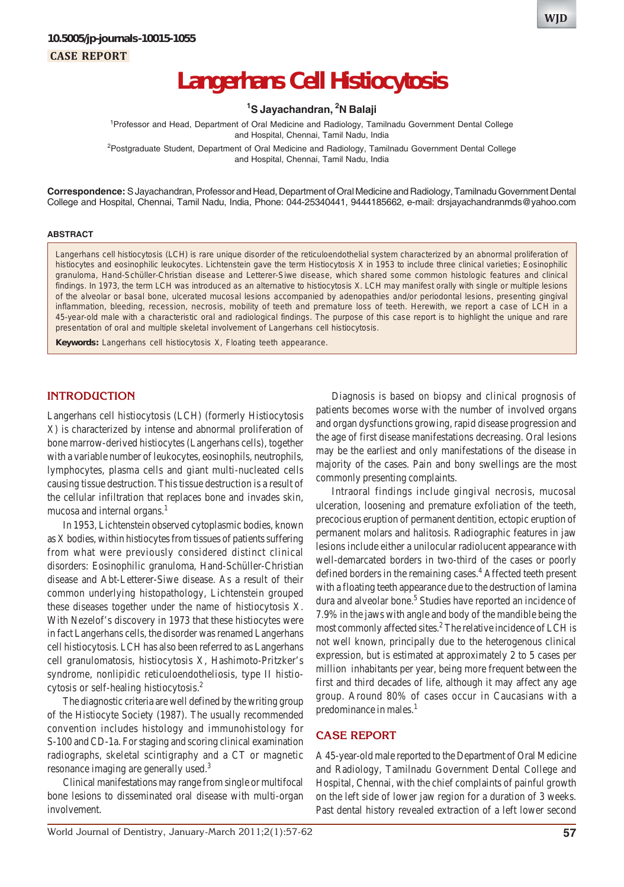# **Langerhans Cell Histiocytosis**

#### **1 S Jayachandran, 2 N Balaji**

<sup>1</sup> Professor and Head, Department of Oral Medicine and Radiology, Tamilnadu Government Dental College and Hospital, Chennai, Tamil Nadu, India <sup>2</sup>Postgraduate Student, Department of Oral Medicine and Radiology, Tamilnadu Government Dental College

and Hospital, Chennai, Tamil Nadu, India

**Correspondence:** S Jayachandran, Professor and Head, Department of Oral Medicine and Radiology, Tamilnadu Government Dental College and Hospital, Chennai, Tamil Nadu, India, Phone: 044-25340441, 9444185662, e-mail: drsjayachandranmds@yahoo.com

#### **ABSTRACT**

Langerhans cell histiocytosis (LCH) is rare unique disorder of the reticuloendothelial system characterized by an abnormal proliferation of histiocytes and eosinophilic leukocytes. Lichtenstein gave the term Histiocytosis X in 1953 to include three clinical varieties; Eosinophilic granuloma, Hand-Schüller-Christian disease and Letterer-Siwe disease, which shared some common histologic features and clinical findings. In 1973, the term LCH was introduced as an alternative to histiocytosis X. LCH may manifest orally with single or multiple lesions of the alveolar or basal bone, ulcerated mucosal lesions accompanied by adenopathies and/or periodontal lesions, presenting gingival inflammation, bleeding, recession, necrosis, mobility of teeth and premature loss of teeth. Herewith, we report a case of LCH in a 45-year-old male with a characteristic oral and radiological findings. The purpose of this case report is to highlight the unique and rare presentation of oral and multiple skeletal involvement of Langerhans cell histiocytosis.

**Keywords:** Langerhans cell histiocytosis X, Floating teeth appearance.

#### **INTRODUCTION**

Langerhans cell histiocytosis (LCH) (formerly Histiocytosis X) is characterized by intense and abnormal proliferation of bone marrow-derived histiocytes (Langerhans cells), together with a variable number of leukocytes, eosinophils, neutrophils, lymphocytes, plasma cells and giant multi-nucleated cells causing tissue destruction. This tissue destruction is a result of the cellular infiltration that replaces bone and invades skin, mucosa and internal organs.<sup>1</sup>

In 1953, Lichtenstein observed cytoplasmic bodies, known as X bodies, within histiocytes from tissues of patients suffering from what were previously considered distinct clinical disorders: Eosinophilic granuloma, Hand-Schüller-Christian disease and Abt-Letterer-Siwe disease. As a result of their common underlying histopathology, Lichtenstein grouped these diseases together under the name of histiocytosis X. With Nezelof's discovery in 1973 that these histiocytes were in fact Langerhans cells, the disorder was renamed Langerhans cell histiocytosis. LCH has also been referred to as Langerhans cell granulomatosis, histiocytosis X, Hashimoto-Pritzker's syndrome, nonlipidic reticuloendotheliosis, type II histiocytosis or self-healing histiocytosis.2

The diagnostic criteria are well defined by the writing group of the Histiocyte Society (1987). The usually recommended convention includes histology and immunohistology for S-100 and CD-1a. For staging and scoring clinical examination radiographs, skeletal scintigraphy and a CT or magnetic resonance imaging are generally used.3

Clinical manifestations may range from single or multifocal bone lesions to disseminated oral disease with multi-organ involvement.

Diagnosis is based on biopsy and clinical prognosis of patients becomes worse with the number of involved organs and organ dysfunctions growing, rapid disease progression and the age of first disease manifestations decreasing. Oral lesions may be the earliest and only manifestations of the disease in majority of the cases. Pain and bony swellings are the most commonly presenting complaints.

Intraoral findings include gingival necrosis, mucosal ulceration, loosening and premature exfoliation of the teeth, precocious eruption of permanent dentition, ectopic eruption of permanent molars and halitosis. Radiographic features in jaw lesions include either a unilocular radiolucent appearance with well-demarcated borders in two-third of the cases or poorly defined borders in the remaining cases.<sup>4</sup> Affected teeth present with a floating teeth appearance due to the destruction of lamina dura and alveolar bone.<sup>5</sup> Studies have reported an incidence of 7.9% in the jaws with angle and body of the mandible being the most commonly affected sites.<sup>2</sup> The relative incidence of LCH is not well known, principally due to the heterogenous clinical expression, but is estimated at approximately 2 to 5 cases per million inhabitants per year, being more frequent between the first and third decades of life, although it may affect any age group. Around 80% of cases occur in Caucasians with a predominance in males.<sup>1</sup>

#### **CASE REPORT**

A 45-year-old male reported to the Department of Oral Medicine and Radiology, Tamilnadu Government Dental College and Hospital, Chennai, with the chief complaints of painful growth on the left side of lower jaw region for a duration of 3 weeks. Past dental history revealed extraction of a left lower second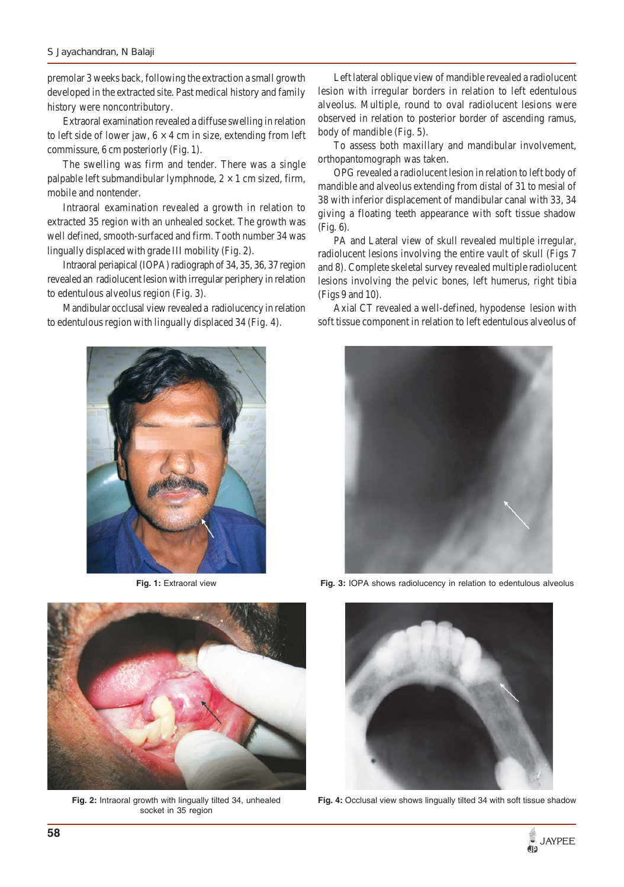premolar 3 weeks back, following the extraction a small growth developed in the extracted site. Past medical history and family history were noncontributory.

Extraoral examination revealed a diffuse swelling in relation to left side of lower jaw,  $6 \times 4$  cm in size, extending from left commissure, 6 cm posteriorly (Fig. 1).

The swelling was firm and tender. There was a single palpable left submandibular lymphnode,  $2 \times 1$  cm sized, firm, mobile and nontender.

Intraoral examination revealed a growth in relation to extracted 35 region with an unhealed socket. The growth was well defined, smooth-surfaced and firm. Tooth number 34 was lingually displaced with grade III mobility (Fig. 2).

Intraoral periapical (IOPA) radiograph of 34, 35, 36, 37 region revealed an radiolucent lesion with irregular periphery in relation to edentulous alveolus region (Fig. 3).

Mandibular occlusal view revealed a radiolucency in relation to edentulous region with lingually displaced 34 (Fig. 4).



**Fig. 1:** Extraoral view



**Fig. 2:** Intraoral growth with lingually tilted 34, unhealed socket in 35 region

Left lateral oblique view of mandible revealed a radiolucent lesion with irregular borders in relation to left edentulous alveolus. Multiple, round to oval radiolucent lesions were observed in relation to posterior border of ascending ramus, body of mandible (Fig. 5).

To assess both maxillary and mandibular involvement, orthopantomograph was taken.

OPG revealed a radiolucent lesion in relation to left body of mandible and alveolus extending from distal of 31 to mesial of 38 with inferior displacement of mandibular canal with 33, 34 giving a floating teeth appearance with soft tissue shadow (Fig. 6).

PA and Lateral view of skull revealed multiple irregular, radiolucent lesions involving the entire vault of skull (Figs 7 and 8). Complete skeletal survey revealed multiple radiolucent lesions involving the pelvic bones, left humerus, right tibia (Figs 9 and 10).

Axial CT revealed a well-defined, hypodense lesion with soft tissue component in relation to left edentulous alveolus of



**Fig. 3:** IOPA shows radiolucency in relation to edentulous alveolus



**Fig. 4:** Occlusal view shows lingually tilted 34 with soft tissue shadow

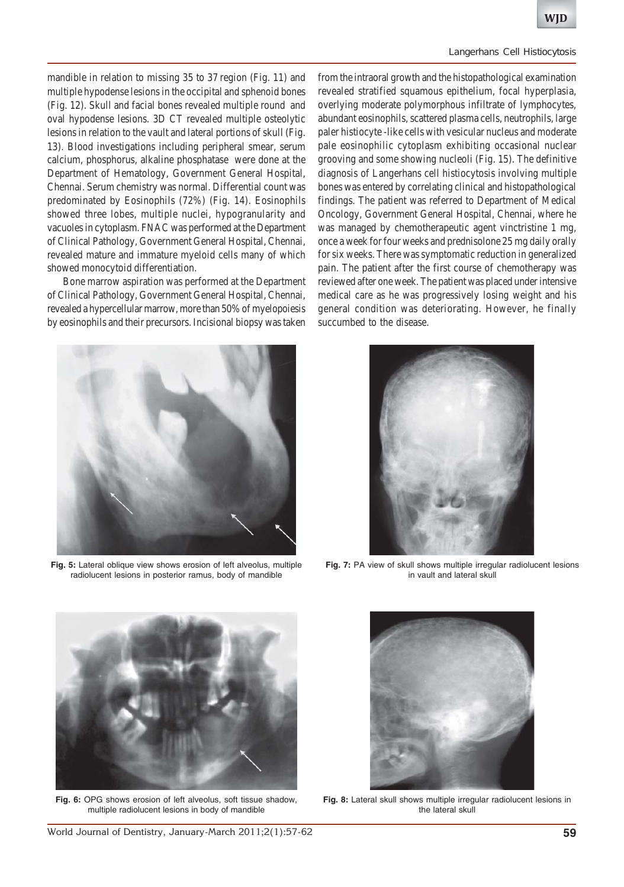#### *Langerhans Cell Histiocytosis*

mandible in relation to missing 35 to 37 region (Fig. 11) and multiple hypodense lesions in the occipital and sphenoid bones (Fig. 12). Skull and facial bones revealed multiple round and oval hypodense lesions. 3D CT revealed multiple osteolytic lesions in relation to the vault and lateral portions of skull (Fig. 13). Blood investigations including peripheral smear, serum calcium, phosphorus, alkaline phosphatase were done at the Department of Hematology, Government General Hospital, Chennai. Serum chemistry was normal. Differential count was predominated by Eosinophils (72%) (Fig. 14). Eosinophils showed three lobes, multiple nuclei, hypogranularity and vacuoles in cytoplasm. FNAC was performed at the Department of Clinical Pathology, Government General Hospital, Chennai, revealed mature and immature myeloid cells many of which showed monocytoid differentiation.

Bone marrow aspiration was performed at the Department of Clinical Pathology, Government General Hospital, Chennai, revealed a hypercellular marrow, more than 50% of myelopoiesis by eosinophils and their precursors. Incisional biopsy was taken



**Fig. 5:** Lateral oblique view shows erosion of left alveolus, multiple radiolucent lesions in posterior ramus, body of mandible

from the intraoral growth and the histopathological examination revealed stratified squamous epithelium, focal hyperplasia, overlying moderate polymorphous infiltrate of lymphocytes, abundant eosinophils, scattered plasma cells, neutrophils, large paler histiocyte -like cells with vesicular nucleus and moderate pale eosinophilic cytoplasm exhibiting occasional nuclear grooving and some showing nucleoli (Fig. 15). The definitive diagnosis of Langerhans cell histiocytosis involving multiple bones was entered by correlating clinical and histopathological findings. The patient was referred to Department of Medical Oncology, Government General Hospital, Chennai, where he was managed by chemotherapeutic agent vinctristine 1 mg, once a week for four weeks and prednisolone 25 mg daily orally for six weeks. There was symptomatic reduction in generalized pain. The patient after the first course of chemotherapy was reviewed after one week. The patient was placed under intensive medical care as he was progressively losing weight and his general condition was deteriorating. However, he finally succumbed to the disease.



**Fig. 7:** PA view of skull shows multiple irregular radiolucent lesions in vault and lateral skull



**Fig. 6:** OPG shows erosion of left alveolus, soft tissue shadow, multiple radiolucent lesions in body of mandible



**Fig. 8:** Lateral skull shows multiple irregular radiolucent lesions in the lateral skull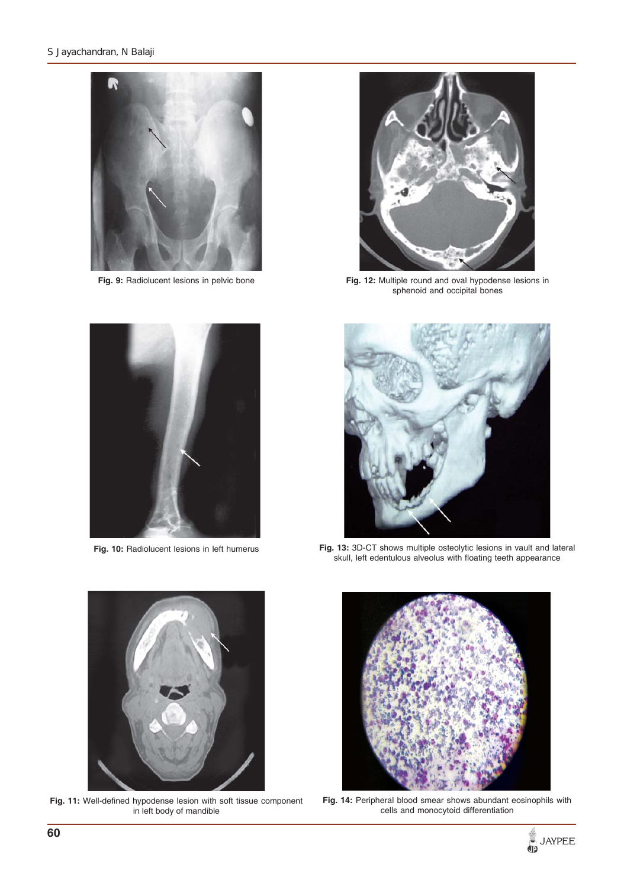

**Fig. 9:** Radiolucent lesions in pelvic bone



**Fig. 10:** Radiolucent lesions in left humerus



**Fig. 12:** Multiple round and oval hypodense lesions in sphenoid and occipital bones



**Fig. 13:** 3D-CT shows multiple osteolytic lesions in vault and lateral skull, left edentulous alveolus with floating teeth appearance



**Fig. 11:** Well-defined hypodense lesion with soft tissue component in left body of mandible



**Fig. 14:** Peripheral blood smear shows abundant eosinophils with cells and monocytoid differentiation

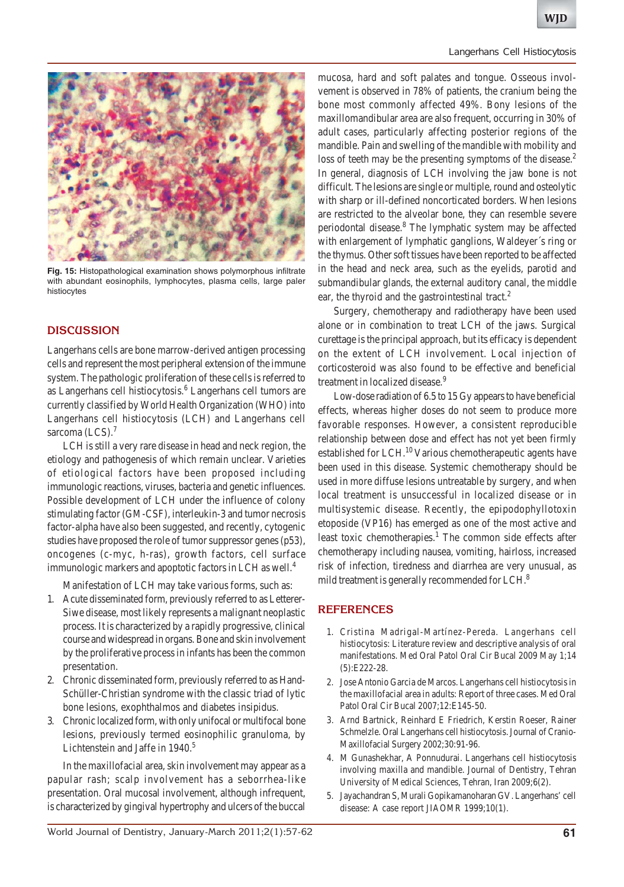

**Fig. 15:** Histopathological examination shows polymorphous infiltrate with abundant eosinophils, lymphocytes, plasma cells, large paler histiocytes

## **DISCUSSION**

Langerhans cells are bone marrow-derived antigen processing cells and represent the most peripheral extension of the immune system. The pathologic proliferation of these cells is referred to as Langerhans cell histiocytosis.<sup>6</sup> Langerhans cell tumors are currently classified by World Health Organization (WHO) into Langerhans cell histiocytosis (LCH) and Langerhans cell sarcoma (LCS). $<sup>7</sup>$ </sup>

LCH is still a very rare disease in head and neck region, the etiology and pathogenesis of which remain unclear. Varieties of etiological factors have been proposed including immunologic reactions, viruses, bacteria and genetic influences. Possible development of LCH under the influence of colony stimulating factor (GM-CSF), interleukin-3 and tumor necrosis factor-alpha have also been suggested, and recently, cytogenic studies have proposed the role of tumor suppressor genes (p53), oncogenes (c-myc, h-ras), growth factors, cell surface immunologic markers and apoptotic factors in LCH as well.<sup>4</sup>

Manifestation of LCH may take various forms, such as:

- 1. Acute disseminated form, previously referred to as Letterer-Siwe disease, most likely represents a malignant neoplastic process. It is characterized by a rapidly progressive, clinical course and widespread in organs. Bone and skin involvement by the proliferative process in infants has been the common presentation.
- 2. Chronic disseminated form, previously referred to as Hand-Schüller-Christian syndrome with the classic triad of lytic bone lesions, exophthalmos and diabetes insipidus.
- 3. Chronic localized form, with only unifocal or multifocal bone lesions, previously termed eosinophilic granuloma, by Lichtenstein and Jaffe in 1940.<sup>5</sup>

In the maxillofacial area, skin involvement may appear as a papular rash; scalp involvement has a seborrhea-like presentation. Oral mucosal involvement, although infrequent, is characterized by gingival hypertrophy and ulcers of the buccal

mucosa, hard and soft palates and tongue. Osseous involvement is observed in 78% of patients, the cranium being the bone most commonly affected 49%. Bony lesions of the maxillomandibular area are also frequent, occurring in 30% of adult cases, particularly affecting posterior regions of the mandible. Pain and swelling of the mandible with mobility and loss of teeth may be the presenting symptoms of the disease.<sup>2</sup> In general, diagnosis of LCH involving the jaw bone is not difficult. The lesions are single or multiple, round and osteolytic with sharp or ill-defined noncorticated borders. When lesions are restricted to the alveolar bone, they can resemble severe periodontal disease.<sup>8</sup> The lymphatic system may be affected with enlargement of lymphatic ganglions, Waldeyer´s ring or the thymus. Other soft tissues have been reported to be affected in the head and neck area, such as the eyelids, parotid and submandibular glands, the external auditory canal, the middle ear, the thyroid and the gastrointestinal tract.<sup>2</sup>

Surgery, chemotherapy and radiotherapy have been used alone or in combination to treat LCH of the jaws. Surgical curettage is the principal approach, but its efficacy is dependent on the extent of LCH involvement. Local injection of corticosteroid was also found to be effective and beneficial treatment in localized disease.<sup>9</sup>

Low-dose radiation of 6.5 to 15 Gy appears to have beneficial effects, whereas higher doses do not seem to produce more favorable responses. However, a consistent reproducible relationship between dose and effect has not yet been firmly established for LCH.<sup>10</sup> Various chemotherapeutic agents have been used in this disease. Systemic chemotherapy should be used in more diffuse lesions untreatable by surgery, and when local treatment is unsuccessful in localized disease or in multisystemic disease. Recently, the epipodophyllotoxin etoposide (VP16) has emerged as one of the most active and least toxic chemotherapies.<sup>1</sup> The common side effects after chemotherapy including nausea, vomiting, hairloss, increased risk of infection, tiredness and diarrhea are very unusual, as mild treatment is generally recommended for LCH.<sup>8</sup>

### **REFERENCES**

- 1. Cristina Madrigal-Martínez-Pereda. Langerhans cell histiocytosis: Literature review and descriptive analysis of oral manifestations. Med Oral Patol Oral Cir Bucal 2009 May 1;14 (5):E222-28.
- 2. Jose Antonio Garcia de Marcos. Langerhans cell histiocytosis in the maxillofacial area in adults: Report of three cases. Med Oral Patol Oral Cir Bucal 2007;12:E145-50.
- 3. Arnd Bartnick, Reinhard E Friedrich, Kerstin Roeser, Rainer Schmelzle. Oral Langerhans cell histiocytosis. Journal of Cranio-Maxillofacial Surgery 2002;30:91-96.
- 4. M Gunashekhar, A Ponnudurai. Langerhans cell histiocytosis involving maxilla and mandible. Journal of Dentistry, Tehran University of Medical Sciences, Tehran, Iran 2009;6(2).
- 5. Jayachandran S, Murali Gopikamanoharan GV. Langerhans' cell disease: A case report JIAOMR 1999;10(1).